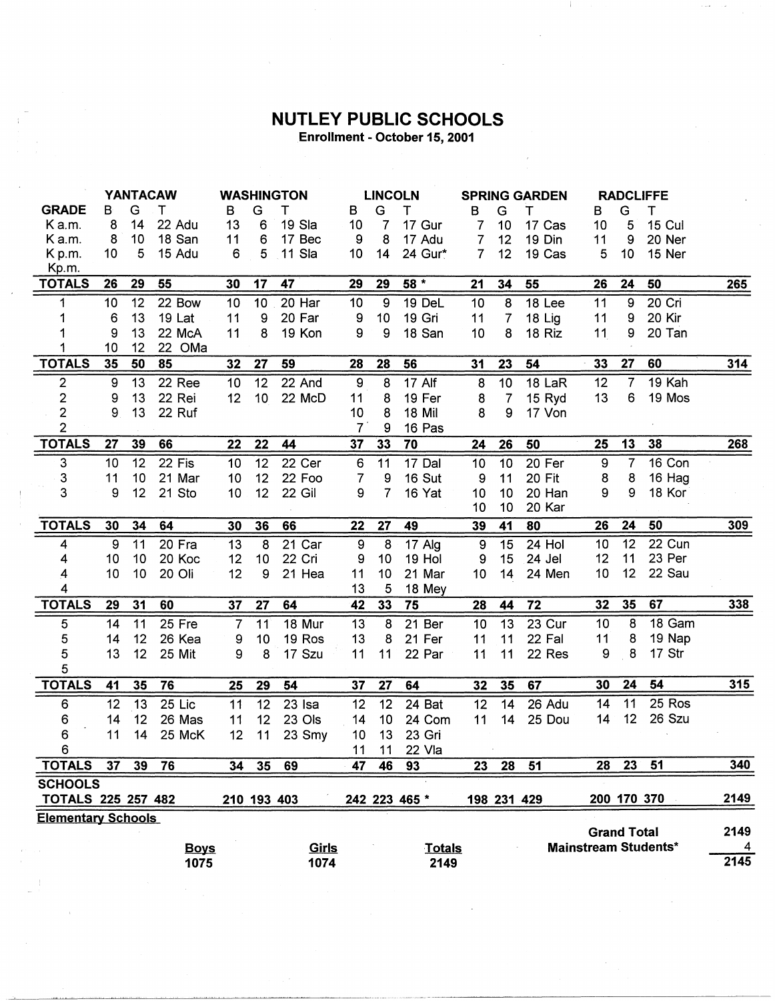## **NUTLEY PUBLIC SCHOOLS**

Enrollment - October 15, 2001

|                           | <b>YANTACAW</b> |    |             | <b>WASHINGTON</b> |                 |              | <b>LINCOLN</b>   |                  |               | <b>SPRING GARDEN</b> |                |          | <b>RADCLIFFE</b> |                    |                             |                |
|---------------------------|-----------------|----|-------------|-------------------|-----------------|--------------|------------------|------------------|---------------|----------------------|----------------|----------|------------------|--------------------|-----------------------------|----------------|
| <b>GRADE</b>              | B               | G  | т           | В                 | G               | т            | в                | G                | Τ             | в                    | G              | т        | B                | G                  | т                           |                |
| K a.m.                    | 8               | 14 | 22 Adu      | 13                | 6               | 19 Sla       | 10               | $\overline{7}$   | 17 Gur        | 7                    | 10             | 17 Cas   | 10               | 5                  | <b>15 Cul</b>               |                |
| K a.m.                    | 8               | 10 | 18 San      | 11                | $\,6\,$         | 17 Bec       | 9                | 8                | 17 Adu        | 7                    | 12             | 19 Din   | 11               | 9                  | 20 Ner                      |                |
| Kp.m.                     | 10              | 5  | 15 Adu      | 6                 | 5               | 11 Sla       | 10               | 14               | 24 Gur*       | 7                    | 12             | 19 Cas   | 5                | 10                 | 15 Ner                      |                |
| Kp.m.                     |                 |    |             |                   |                 |              |                  |                  |               |                      |                |          |                  |                    |                             |                |
| <b>TOTALS</b>             | 26              | 29 | 55          | 30                | 17              | 47           | 29               | 29               | $58*$         | 21                   | 34             | 55       | 26               | 24                 | 50                          | <b>265</b>     |
| 1                         | 10              | 12 | 22 Bow      | $\overline{10}$   | 10              | 20 Har       | 10               | $\overline{9}$   | <b>19 DeL</b> | 10                   | 8              | $18$ Lee | 11               | $\overline{9}$     | 20 Cri                      |                |
| 1                         | 6               | 13 | 19 Lat      | 11                | 9               | 20 Far       | $\boldsymbol{9}$ | 10               | 19 Gri        | 11                   | $\overline{7}$ | 18 Lig   | 11               | 9                  | 20 Kir                      |                |
| 1                         | 9               | 13 | 22 McA      | 11                | 8               | 19 Kon       | 9                | 9                | 18 San        | 10                   | 8              | 18 Riz   | 11               | 9                  | 20 Tan                      |                |
| 1                         | 10              | 12 | 22 OMa      |                   |                 |              |                  |                  |               |                      |                |          |                  |                    |                             |                |
| <b>TOTALS</b>             | 35              | 50 | 85          | 32                | 27              | 59           | 28               | <b>28</b>        | 56            | 31                   | 23             | 54       | 33               | 27                 | 60                          | $314$          |
| $\overline{2}$            | 9               | 13 | 22 Ree      | 10                | 12              | 22 And       | $\boldsymbol{9}$ | $\boldsymbol{8}$ | 17 Alf        | 8                    | 10             | 18 LaR   | 12               | $\overline{7}$     | 19 Kah                      |                |
| $\overline{\mathbf{c}}$   | 9               | 13 | 22 Rei      | 12                | 10 <sub>1</sub> | 22 McD       | 11               | 8                | 19 Fer        | 8                    | $\overline{7}$ | 15 Ryd   | 13               | 6                  | 19 Mos                      |                |
| $\overline{\mathbf{c}}$   | 9               | 13 | 22 Ruf      |                   |                 |              | 10               | 8                | <b>18 Mil</b> | 8                    | 9              | 17 Von   |                  |                    |                             |                |
| $\overline{2}$            |                 |    |             |                   |                 |              | $\overline{7}$   | 9                | 16 Pas        |                      |                |          |                  |                    |                             |                |
| <b>TOTALS</b>             | 27              | 39 | 66          | 22                | 22              | 44           | 37               | 33               | 70            | 24                   | 26             | 50       | 25               | 13                 | 38                          | 268            |
| 3                         | 10              | 12 | 22 Fis      | 10                | 12              | 22 Cer       | $\boldsymbol{6}$ | 11               | 17 Dal        | 10                   | 10             | 20 Fer   | 9                | $\overline{7}$     | 16 Con                      |                |
| 3                         | 11              | 10 | 21 Mar      | 10                | 12              | 22 Foo       | 7                | 9                | 16 Sut        | 9                    | 11             | 20 Fit   | 8                | 8                  | 16 Hag                      |                |
| 3                         | 9               | 12 | 21 Sto      | 10                | 12              | 22 Gil       | 9                | $\overline{7}$   | 16 Yat        | 10                   | 10             | 20 Han   | 9                | 9                  | 18 Kor                      |                |
|                           |                 |    |             |                   |                 |              |                  |                  |               | 10                   | 10             | 20 Kar   |                  |                    |                             |                |
| <b>TOTALS</b>             | 30              | 34 | 64          | 30                | 36              | 66           | 22               | 27               | 49            | 39                   | 41             | 80       | 26               | 24                 | 50                          | 309            |
| 4                         | 9               | 11 | 20 Fra      | 13                | $\overline{8}$  | 21 Car       | 9                | 8                | 17 Alg        | $9\,$                | 15             | 24 Hol   | 10               | 12                 | $22$ Cun                    |                |
| 4                         | 10              | 10 | 20 Koc      | 12                | 10              | 22 Cri       | 9                | 10               | 19 Hol        | 9                    | 15             | 24 Jel   | 12               | 11                 | 23 Per                      |                |
| 4                         | 10              | 10 | 20 Oli      | 12                | 9               | 21 Hea       | 11               | 10               | 21 Mar        | 10                   | 14             | 24 Men   | 10               | 12 <sub>2</sub>    | 22 Sau                      |                |
| 4                         |                 |    |             |                   |                 |              | 13               | 5                | 18 Mey        |                      |                |          |                  |                    |                             |                |
| <b>TOTALS</b>             | 29              | 31 | 60          | 37                | 27              | 64           | 42               | 33               | 75            | 28                   | 44             | 72       | 32               | 35                 | 67                          | $338$          |
| 5                         | 14              | 11 | 25 Fre      | 7                 | 11              | 18 Mur       | 13               | 8                | 21 Ber        | 10                   | 13             | $23$ Cur | 10               | 8                  | 18 Gam                      |                |
| 5                         | 14              | 12 | 26 Kea      | 9                 | 10              | 19 Ros       | 13               | 8                | 21 Fer        | 11                   | 11             | 22 Fal   | 11               | 8                  | 19 Nap                      |                |
| 5                         | 13              | 12 | 25 Mit      | 9                 | 8               | 17 Szu       | 11               | 11               | 22 Par        | 11                   | 11             | 22 Res   | 9                | 8                  | 17 Str                      |                |
| 5                         |                 |    |             |                   |                 |              |                  |                  |               |                      |                |          |                  |                    |                             |                |
| <b>TOTALS</b>             | 41              | 35 | 76          | 25                | 29              | 54           | 37               | 27               | 64            | 32                   | 35             | 67       | 30               | 24                 | 54                          | 315            |
| 6                         | 12              | 13 | 25 Lic      | 11                | 12              | 23 Isa       | 12               | 12               | 24 Bat        | 12                   | 14             | 26 Adu   | 14               | 11                 | 25 Ros                      |                |
| 6                         | 14              | 12 | 26 Mas      | 11                | 12              | 23 Ols       | 14               | 10               | 24 Com        | 11                   | 14             | 25 Dou   | 14               | 12                 | 26 Szu                      |                |
| 6                         | 11              | 14 | 25 McK      | 12                | 11              | 23 Smy       | 10               | 13               | 23 Gri        |                      |                |          |                  |                    |                             |                |
| 6                         |                 |    |             |                   |                 |              | 11               | 11               | 22 Vla        |                      |                |          |                  |                    |                             |                |
| TOTALS                    | 37              | 39 | 76          | 34                | 35              | 69           | 47               | 46               | 93            | 23                   | 28             | 51       | 28               |                    | 23 51                       | 340            |
| <b>SCHOOLS</b>            |                 |    |             |                   |                 |              |                  |                  |               |                      |                |          |                  |                    |                             |                |
| <b>TOTALS 225 257 482</b> |                 |    |             |                   |                 | 210 193 403  |                  |                  | 242 223 465 * |                      | 198 231 429    |          |                  | 200 170 370        |                             | 2149           |
| <b>Elementary Schools</b> |                 |    |             |                   |                 |              |                  |                  |               |                      |                |          |                  |                    |                             |                |
|                           |                 |    |             |                   |                 |              |                  |                  |               |                      |                |          |                  | <b>Grand Total</b> |                             | 2149           |
|                           |                 |    | <b>Boys</b> |                   |                 | <u>Girls</u> |                  |                  | <b>Totals</b> |                      |                |          |                  |                    | <b>Mainstream Students*</b> | $\overline{4}$ |
|                           |                 |    | 1075        |                   |                 | 1074         |                  |                  | 2149          |                      |                |          |                  |                    |                             | 2145           |